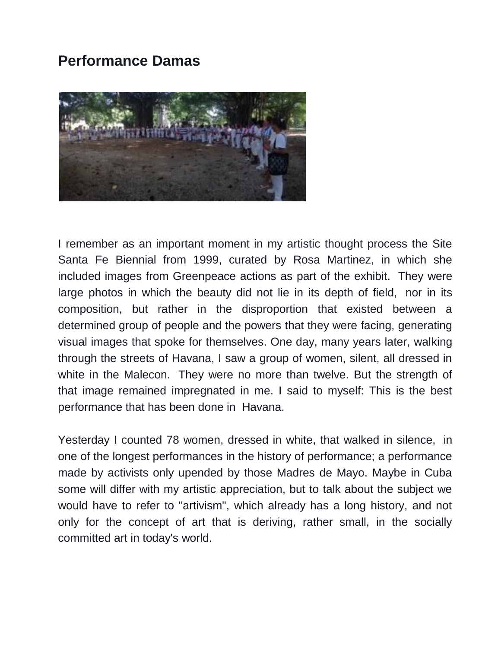## **Performance Damas**



I remember as an important moment in my artistic thought process the Site Santa Fe Biennial from 1999, curated by Rosa Martinez, in which she included images from Greenpeace actions as part of the exhibit. They were large photos in which the beauty did not lie in its depth of field, nor in its composition, but rather in the disproportion that existed between a determined group of people and the powers that they were facing, generating visual images that spoke for themselves. One day, many years later, walking through the streets of Havana, I saw a group of women, silent, all dressed in white in the Malecon. They were no more than twelve. But the strength of that image remained impregnated in me. I said to myself: This is the best performance that has been done in Havana.

Yesterday I counted 78 women, dressed in white, that walked in silence, in one of the longest performances in the history of performance; a performance made by activists only upended by those Madres de Mayo. Maybe in Cuba some will differ with my artistic appreciation, but to talk about the subject we would have to refer to "artivism", which already has a long history, and not only for the concept of art that is deriving, rather small, in the socially committed art in today's world.